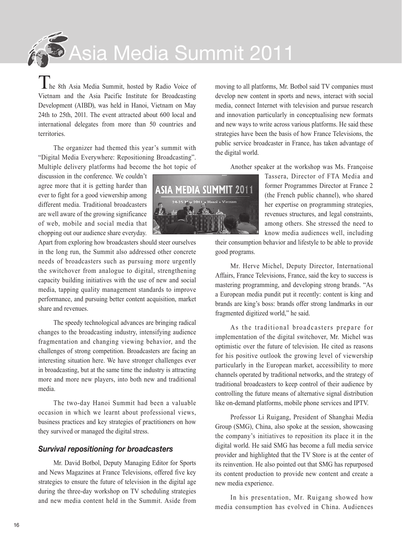Asia Media Summit 2011

 $\blacksquare$  he 8th Asia Media Summit, hosted by Radio Voice of Vietnam and the Asia Pacific Institute for Broadcasting Development (AIBD), was held in Hanoi, Vietnam on May 24th to 25th, 2011. The event attracted about 600 local and international delegates from more than 50 countries and territories.

The organizer had themed this year's summit with "Digital Media Everywhere: Repositioning Broadcasting". Multiple delivery platforms had become the hot topic of

discussion in the conference. We couldn't agree more that it is getting harder than ever to fight for a good viewership among different media. Traditional broadcasters are well aware of the growing significance of web, mobile and social media that chopping out our audience share everyday.

Apart from exploring how broadcasters should steer ourselves in the long run, the Summit also addressed other concrete needs of broadcasters such as pursuing more urgently the switchover from analogue to digital, strengthening capacity building initiatives with the use of new and social media, tapping quality management standards to improve performance, and pursuing better content acquisition, market share and revenues.

The speedy technological advances are bringing radical changes to the broadcasting industry, intensifying audience fragmentation and changing viewing behavior, and the challenges of strong competition. Broadcasters are facing an interesting situation here. We have stronger challenges ever in broadcasting, but at the same time the industry is attracting more and more new players, into both new and traditional media.

The two-day Hanoi Summit had been a valuable occasion in which we learnt about professional views, business practices and key strategies of practitioners on how they survived or managed the digital stress.

## *Survival repositioning for broadcasters*

Mr. David Botbol, Deputy Managing Editor for Sports and News Magazines at France Televisions, offered five key strategies to ensure the future of television in the digital age during the three-day workshop on TV scheduling strategies and new media content held in the Summit. Aside from



Another speaker at the workshop was Ms. Françoise



Tassera, Director of FTA Media and former Programmes Director at France 2 (the French public channel), who shared her expertise on programming strategies, revenues structures, and legal constraints, among others. She stressed the need to know media audiences well, including

their consumption behavior and lifestyle to be able to provide good programs.

Mr. Herve Michel, Deputy Director, International Affairs, France Televisions, France, said the key to success is mastering programming, and developing strong brands. "As a European media pundit put it recently: content is king and brands are king's boss: brands offer strong landmarks in our fragmented digitized world," he said.

As the traditional broadcasters prepare for implementation of the digital switchover, Mr. Michel was optimistic over the future of television. He cited as reasons for his positive outlook the growing level of viewership particularly in the European market, accessibility to more channels operated by traditional networks, and the strategy of traditional broadcasters to keep control of their audience by controlling the future means of alternative signal distribution like on-demand platforms, mobile phone services and IPTV.

Professor Li Ruigang, President of Shanghai Media Group (SMG), China, also spoke at the session, showcasing the company's initiatives to reposition its place it in the digital world. He said SMG has become a full media service provider and highlighted that the TV Store is at the center of its reinvention. He also pointed out that SMG has repurposed its content production to provide new content and create a new media experience.

In his presentation, Mr. Ruigang showed how media consumption has evolved in China. Audiences